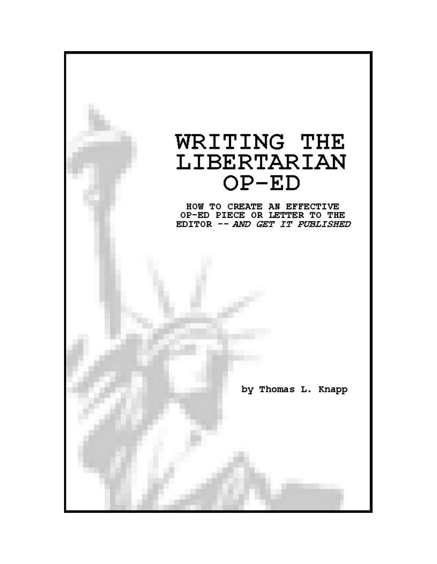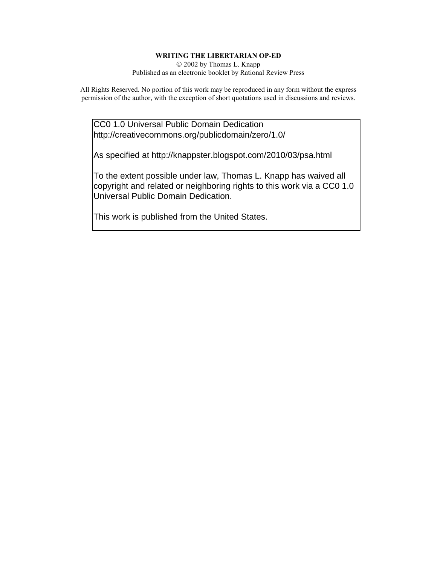#### **WRITING THE LIBERTARIAN OP-ED**

 2002 by Thomas L. Knapp Published as an electronic booklet by Rational Review Press

All Rights Reserved. No portion of this work may be reproduced in any form without the express permission of the author, with the exception of short quotations used in discussions and reviews.

CC0 1.0 Universal Public Domain Dedication http://creativecommons.org/publicdomain/zero/1.0/

As specified at http://knappster.blogspot.com/2010/03/psa.html

To the extent possible under law, Thomas L. Knapp has waived all copyright and related or neighboring rights to this work via a CC0 1.0 Universal Public Domain Dedication.

This work is published from the United States.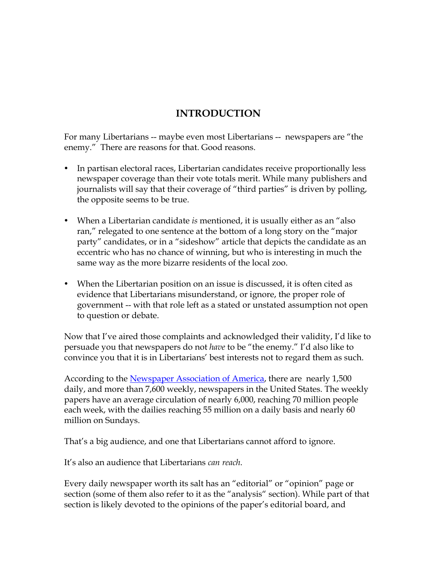# **INTRODUCTION**

For many Libertarians -- maybe even most Libertarians -- newspapers are "the enemy." There are reasons for that. Good reasons.

- In partisan electoral races, Libertarian candidates receive proportionally less newspaper coverage than their vote totals merit. While many publishers and journalists will say that their coverage of "third parties" is driven by polling, the opposite seems to be true.
- When a Libertarian candidate *is* mentioned, it is usually either as an "also" ran," relegated to one sentence at the bottom of a long story on the "major party" candidates, or in a "sideshow" article that depicts the candidate as an eccentric who has no chance of winning, but who is interesting in much the same way as the more bizarre residents of the local zoo.
- When the Libertarian position on an issue is discussed, it is often cited as evidence that Libertarians misunderstand, or ignore, the proper role of government -- with that role left as a stated or unstated assumption not open to question or debate.

Now that I've aired those complaints and acknowledged their validity, I'd like to persuade you that newspapers do not *have* to be "the enemy." I'd also like to convince you that it is in Libertarians' best interests not to regard them as such.

According to the Newspaper Association of America, there are nearly 1,500 daily, and more than 7,600 weekly, newspapers in the United States. The weekly papers have an average circulation of nearly 6,000, reaching 70 million people each week, with the dailies reaching 55 million on a daily basis and nearly 60 million on Sundays.

That's a big audience, and one that Libertarians cannot afford to ignore.

It's also an audience that Libertarians *can reach*.

Every daily newspaper worth its salt has an "editorial" or "opinion" page or section (some of them also refer to it as the "analysis" section). While part of that section is likely devoted to the opinions of the paper's editorial board, and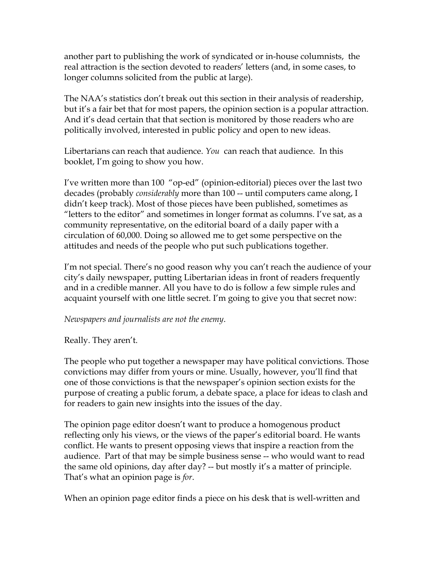another part to publishing the work of syndicated or in-house columnists, the real attraction is the section devoted to readers' letters (and, in some cases, to longer columns solicited from the public at large).

The NAA's statistics don't break out this section in their analysis of readership, but it's a fair bet that for most papers, the opinion section is a popular attraction. And it's dead certain that that section is monitored by those readers who are politically involved, interested in public policy and open to new ideas.

Libertarians can reach that audience. *You* can reach that audience. In this booklet, I'm going to show you how.

I've written more than 100 "op-ed" (opinion-editorial) pieces over the last two decades (probably *considerably* more than 100 -- until computers came along, I didn't keep track). Most of those pieces have been published, sometimes as "letters to the editor" and sometimes in longer format as columns. I've sat, as a community representative, on the editorial board of a daily paper with a circulation of 60,000. Doing so allowed me to get some perspective on the attitudes and needs of the people who put such publications together.

I'm not special. There's no good reason why you can't reach the audience of your city's daily newspaper, putting Libertarian ideas in front of readers frequently and in a credible manner. All you have to do is follow a few simple rules and acquaint yourself with one little secret. I'm going to give you that secret now:

*Newspapers and journalists are not the enemy*.

Really. They aren't.

The people who put together a newspaper may have political convictions. Those convictions may differ from yours or mine. Usually, however, you'll find that one of those convictions is that the newspaper's opinion section exists for the purpose of creating a public forum, a debate space, a place for ideas to clash and for readers to gain new insights into the issues of the day.

The opinion page editor doesn't want to produce a homogenous product reflecting only his views, or the views of the paper's editorial board. He wants conflict. He wants to present opposing views that inspire a reaction from the audience. Part of that may be simple business sense -- who would want to read the same old opinions, day after day? -- but mostly it's a matter of principle. That's what an opinion page is *for*.

When an opinion page editor finds a piece on his desk that is well-written and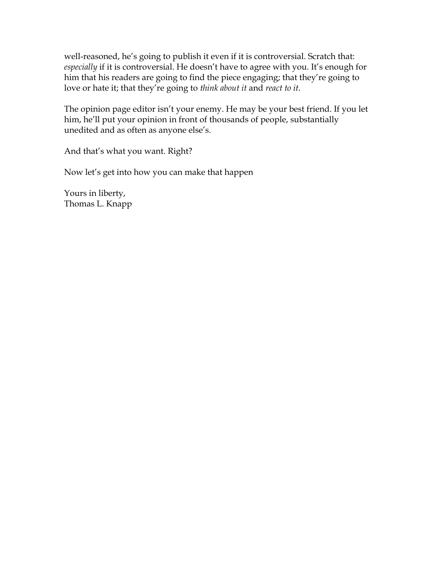well-reasoned, he's going to publish it even if it is controversial. Scratch that: *especially* if it is controversial. He doesn't have to agree with you. It's enough for him that his readers are going to find the piece engaging; that they're going to love or hate it; that they're going to *think about it* and *react to it*.

The opinion page editor isn't your enemy. He may be your best friend. If you let him, he'll put your opinion in front of thousands of people, substantially unedited and as often as anyone else's.

And that's what you want. Right?

Now let's get into how you can make that happen

Yours in liberty, Thomas L. Knapp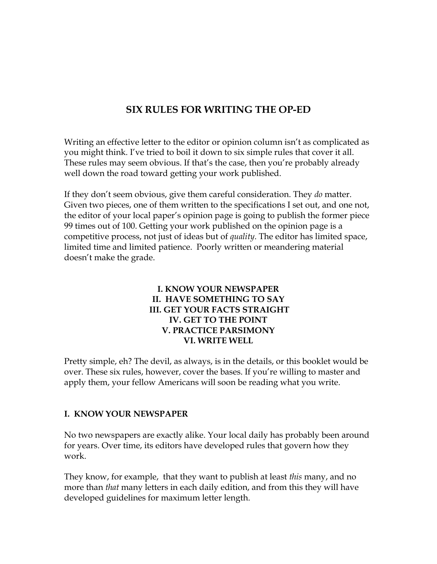## **SIX RULES FOR WRITING THE OP-ED**

Writing an effective letter to the editor or opinion column isn't as complicated as you might think. I've tried to boil it down to six simple rules that cover it all. These rules may seem obvious. If that's the case, then you're probably already well down the road toward getting your work published.

If they don't seem obvious, give them careful consideration. They *do* matter. Given two pieces, one of them written to the specifications I set out, and one not, the editor of your local paper's opinion page is going to publish the former piece 99 times out of 100. Getting your work published on the opinion page is a competitive process, not just of ideas but of *quality*. The editor has limited space, limited time and limited patience. Poorly written or meandering material doesn't make the grade.

### **I. KNOW YOUR NEWSPAPER II. HAVE SOMETHING TO SAY III. GET YOUR FACTS STRAIGHT IV. GET TO THE POINT V. PRACTICE PARSIMONY VI. WRITE WELL**

Pretty simple, eh? The devil, as always, is in the details, or this booklet would be over. These six rules, however, cover the bases. If you're willing to master and apply them, your fellow Americans will soon be reading what you write.

#### **I. KNOW YOUR NEWSPAPER**

No two newspapers are exactly alike. Your local daily has probably been around for years. Over time, its editors have developed rules that govern how they work.

They know, for example, that they want to publish at least *this* many, and no more than *that* many letters in each daily edition, and from this they will have developed guidelines for maximum letter length.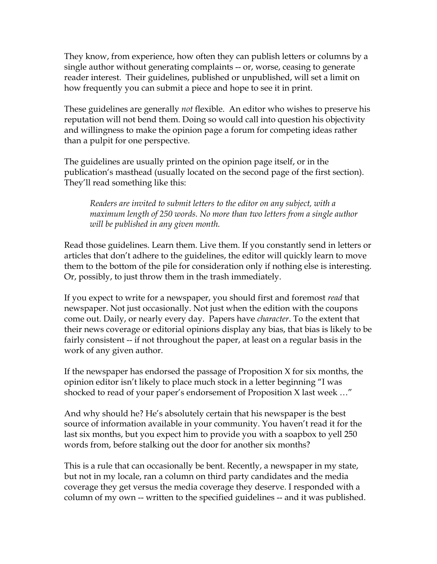They know, from experience, how often they can publish letters or columns by a single author without generating complaints -- or, worse, ceasing to generate reader interest. Their guidelines, published or unpublished, will set a limit on how frequently you can submit a piece and hope to see it in print.

These guidelines are generally *not* flexible. An editor who wishes to preserve his reputation will not bend them. Doing so would call into question his objectivity and willingness to make the opinion page a forum for competing ideas rather than a pulpit for one perspective.

The guidelines are usually printed on the opinion page itself, or in the publication's masthead (usually located on the second page of the first section). They'll read something like this:

*Readers are invited to submit letters to the editor on any subject, with a maximum length of 250 words. No more than two letters from a single author will be published in any given month.* 

Read those guidelines. Learn them. Live them. If you constantly send in letters or articles that don't adhere to the guidelines, the editor will quickly learn to move them to the bottom of the pile for consideration only if nothing else is interesting. Or, possibly, to just throw them in the trash immediately.

If you expect to write for a newspaper, you should first and foremost *read* that newspaper. Not just occasionally. Not just when the edition with the coupons come out. Daily, or nearly every day. Papers have *character*. To the extent that their news coverage or editorial opinions display any bias, that bias is likely to be fairly consistent -- if not throughout the paper, at least on a regular basis in the work of any given author.

If the newspaper has endorsed the passage of Proposition X for six months, the opinion editor isn't likely to place much stock in a letter beginning "I was shocked to read of your paper's endorsement of Proposition X last week …"

And why should he? He's absolutely certain that his newspaper is the best source of information available in your community. You haven't read it for the last six months, but you expect him to provide you with a soapbox to yell 250 words from, before stalking out the door for another six months?

This is a rule that can occasionally be bent. Recently, a newspaper in my state, but not in my locale, ran a column on third party candidates and the media coverage they get versus the media coverage they deserve. I responded with a column of my own -- written to the specified guidelines -- and it was published.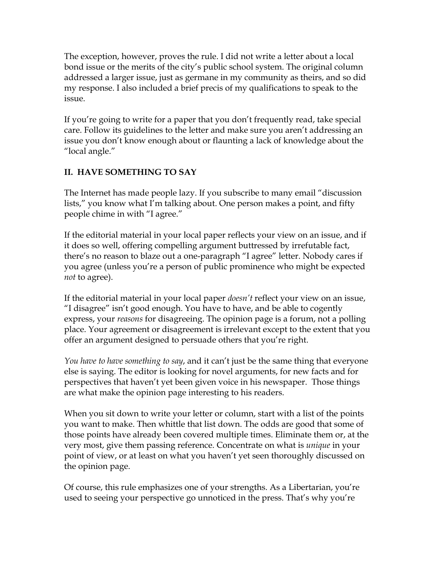The exception, however, proves the rule. I did not write a letter about a local bond issue or the merits of the city's public school system. The original column addressed a larger issue, just as germane in my community as theirs, and so did my response. I also included a brief precis of my qualifications to speak to the issue.

If you're going to write for a paper that you don't frequently read, take special care. Follow its guidelines to the letter and make sure you aren't addressing an issue you don't know enough about or flaunting a lack of knowledge about the "local angle."

## **II. HAVE SOMETHING TO SAY**

The Internet has made people lazy. If you subscribe to many email "discussion lists," you know what I'm talking about. One person makes a point, and fifty people chime in with "I agree."

If the editorial material in your local paper reflects your view on an issue, and if it does so well, offering compelling argument buttressed by irrefutable fact, there's no reason to blaze out a one-paragraph "I agree" letter. Nobody cares if you agree (unless you're a person of public prominence who might be expected *not* to agree).

If the editorial material in your local paper *doesn't* reflect your view on an issue, "I disagree" isn't good enough. You have to have, and be able to cogently express, your *reasons* for disagreeing. The opinion page is a forum, not a polling place. Your agreement or disagreement is irrelevant except to the extent that you offer an argument designed to persuade others that you're right.

*You have to have something to say*, and it can't just be the same thing that everyone else is saying. The editor is looking for novel arguments, for new facts and for perspectives that haven't yet been given voice in his newspaper. Those things are what make the opinion page interesting to his readers.

When you sit down to write your letter or column, start with a list of the points you want to make. Then whittle that list down. The odds are good that some of those points have already been covered multiple times. Eliminate them or, at the very most, give them passing reference. Concentrate on what is *unique* in your point of view, or at least on what you haven't yet seen thoroughly discussed on the opinion page.

Of course, this rule emphasizes one of your strengths. As a Libertarian, you're used to seeing your perspective go unnoticed in the press. That's why you're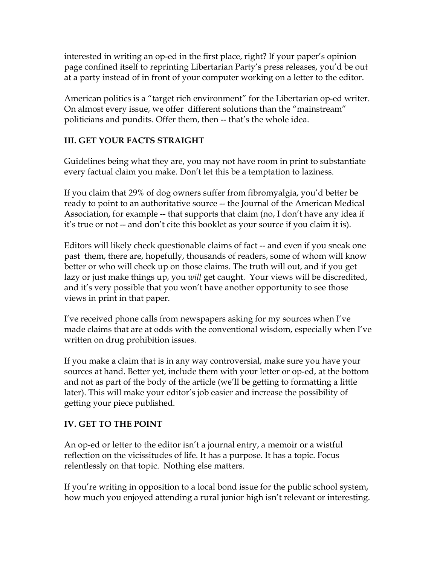interested in writing an op-ed in the first place, right? If your paper's opinion page confined itself to reprinting Libertarian Party's press releases, you'd be out at a party instead of in front of your computer working on a letter to the editor.

American politics is a "target rich environment" for the Libertarian op-ed writer. On almost every issue, we offer different solutions than the "mainstream" politicians and pundits. Offer them, then -- that's the whole idea.

### **III. GET YOUR FACTS STRAIGHT**

Guidelines being what they are, you may not have room in print to substantiate every factual claim you make. Don't let this be a temptation to laziness.

If you claim that 29% of dog owners suffer from fibromyalgia, you'd better be ready to point to an authoritative source -- the Journal of the American Medical Association, for example -- that supports that claim (no, I don't have any idea if it's true or not -- and don't cite this booklet as your source if you claim it is).

Editors will likely check questionable claims of fact -- and even if you sneak one past them, there are, hopefully, thousands of readers, some of whom will know better or who will check up on those claims. The truth will out, and if you get lazy or just make things up, you *will* get caught. Your views will be discredited, and it's very possible that you won't have another opportunity to see those views in print in that paper.

I've received phone calls from newspapers asking for my sources when I've made claims that are at odds with the conventional wisdom, especially when I've written on drug prohibition issues.

If you make a claim that is in any way controversial, make sure you have your sources at hand. Better yet, include them with your letter or op-ed, at the bottom and not as part of the body of the article (we'll be getting to formatting a little later). This will make your editor's job easier and increase the possibility of getting your piece published.

### **IV. GET TO THE POINT**

An op-ed or letter to the editor isn't a journal entry, a memoir or a wistful reflection on the vicissitudes of life. It has a purpose. It has a topic. Focus relentlessly on that topic. Nothing else matters.

If you're writing in opposition to a local bond issue for the public school system, how much you enjoyed attending a rural junior high isn't relevant or interesting.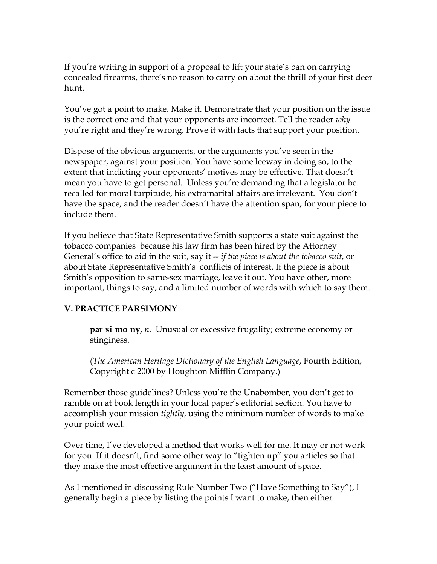If you're writing in support of a proposal to lift your state's ban on carrying concealed firearms, there's no reason to carry on about the thrill of your first deer hunt.

You've got a point to make. Make it. Demonstrate that your position on the issue is the correct one and that your opponents are incorrect. Tell the reader *why* you're right and they're wrong. Prove it with facts that support your position.

Dispose of the obvious arguments, or the arguments you've seen in the newspaper, against your position. You have some leeway in doing so, to the extent that indicting your opponents' motives may be effective. That doesn't mean you have to get personal. Unless you're demanding that a legislator be recalled for moral turpitude, his extramarital affairs are irrelevant. You don't have the space, and the reader doesn't have the attention span, for your piece to include them.

If you believe that State Representative Smith supports a state suit against the tobacco companies because his law firm has been hired by the Attorney General's office to aid in the suit, say it -- *if the piece is about the tobacco suit*, or about State Representative Smith's conflicts of interest. If the piece is about Smith's opposition to same-sex marriage, leave it out. You have other, more important, things to say, and a limited number of words with which to say them.

### **V. PRACTICE PARSIMONY**

**par si mo ny,** *n*. Unusual or excessive frugality; extreme economy or stinginess.

(*The American Heritage Dictionary of the English Language*, Fourth Edition, Copyright c 2000 by Houghton Mifflin Company.)

Remember those guidelines? Unless you're the Unabomber, you don't get to ramble on at book length in your local paper's editorial section. You have to accomplish your mission *tightly*, using the minimum number of words to make your point well.

Over time, I've developed a method that works well for me. It may or not work for you. If it doesn't, find some other way to "tighten up" you articles so that they make the most effective argument in the least amount of space.

As I mentioned in discussing Rule Number Two ("Have Something to Say"), I generally begin a piece by listing the points I want to make, then either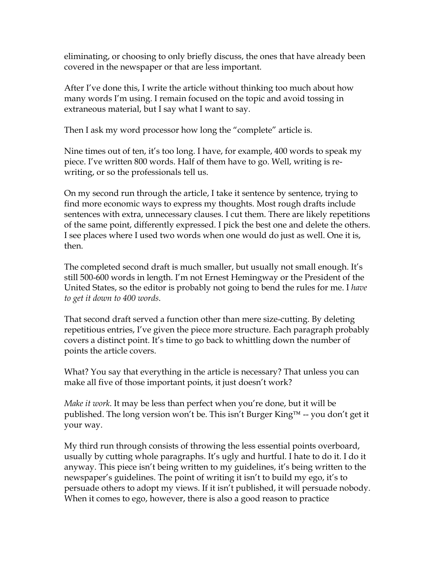eliminating, or choosing to only briefly discuss, the ones that have already been covered in the newspaper or that are less important.

After I've done this, I write the article without thinking too much about how many words I'm using. I remain focused on the topic and avoid tossing in extraneous material, but I say what I want to say.

Then I ask my word processor how long the "complete" article is.

Nine times out of ten, it's too long. I have, for example, 400 words to speak my piece. I've written 800 words. Half of them have to go. Well, writing is rewriting, or so the professionals tell us.

On my second run through the article, I take it sentence by sentence, trying to find more economic ways to express my thoughts. Most rough drafts include sentences with extra, unnecessary clauses. I cut them. There are likely repetitions of the same point, differently expressed. I pick the best one and delete the others. I see places where I used two words when one would do just as well. One it is, then.

The completed second draft is much smaller, but usually not small enough. It's still 500-600 words in length. I'm not Ernest Hemingway or the President of the United States, so the editor is probably not going to bend the rules for me. I *have to get it down to 400 words*.

That second draft served a function other than mere size-cutting. By deleting repetitious entries, I've given the piece more structure. Each paragraph probably covers a distinct point. It's time to go back to whittling down the number of points the article covers.

What? You say that everything in the article is necessary? That unless you can make all five of those important points, it just doesn't work?

*Make it work*. It may be less than perfect when you're done, but it will be published. The long version won't be. This isn't Burger King™ -- you don't get it your way.

My third run through consists of throwing the less essential points overboard, usually by cutting whole paragraphs. It's ugly and hurtful. I hate to do it. I do it anyway. This piece isn't being written to my guidelines, it's being written to the newspaper's guidelines. The point of writing it isn't to build my ego, it's to persuade others to adopt my views. If it isn't published, it will persuade nobody. When it comes to ego, however, there is also a good reason to practice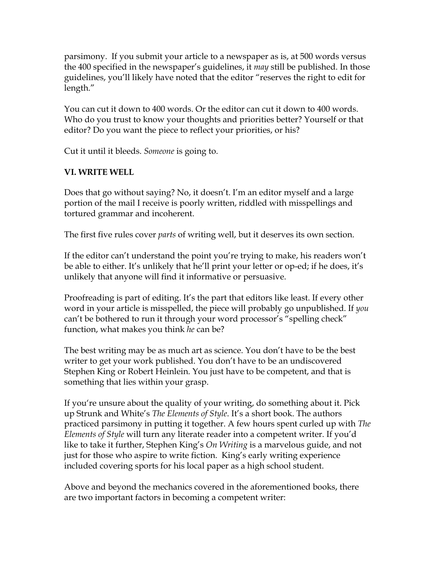parsimony. If you submit your article to a newspaper as is, at 500 words versus the 400 specified in the newspaper's guidelines, it *may* still be published. In those guidelines, you'll likely have noted that the editor "reserves the right to edit for length."

You can cut it down to 400 words. Or the editor can cut it down to 400 words. Who do you trust to know your thoughts and priorities better? Yourself or that editor? Do you want the piece to reflect your priorities, or his?

Cut it until it bleeds. *Someone* is going to.

#### **VI. WRITE WELL**

Does that go without saying? No, it doesn't. I'm an editor myself and a large portion of the mail I receive is poorly written, riddled with misspellings and tortured grammar and incoherent.

The first five rules cover *parts* of writing well, but it deserves its own section.

If the editor can't understand the point you're trying to make, his readers won't be able to either. It's unlikely that he'll print your letter or op-ed; if he does, it's unlikely that anyone will find it informative or persuasive.

Proofreading is part of editing. It's the part that editors like least. If every other word in your article is misspelled, the piece will probably go unpublished. If *you* can't be bothered to run it through your word processor's "spelling check" function, what makes you think *he* can be?

The best writing may be as much art as science. You don't have to be the best writer to get your work published. You don't have to be an undiscovered Stephen King or Robert Heinlein. You just have to be competent, and that is something that lies within your grasp.

If you're unsure about the quality of your writing, do something about it. Pick up Strunk and White's *The Elements of Style*. It's a short book. The authors practiced parsimony in putting it together. A few hours spent curled up with *The Elements of Style* will turn any literate reader into a competent writer. If you'd like to take it further, Stephen King's *On Writing* is a marvelous guide, and not just for those who aspire to write fiction. King's early writing experience included covering sports for his local paper as a high school student.

Above and beyond the mechanics covered in the aforementioned books, there are two important factors in becoming a competent writer: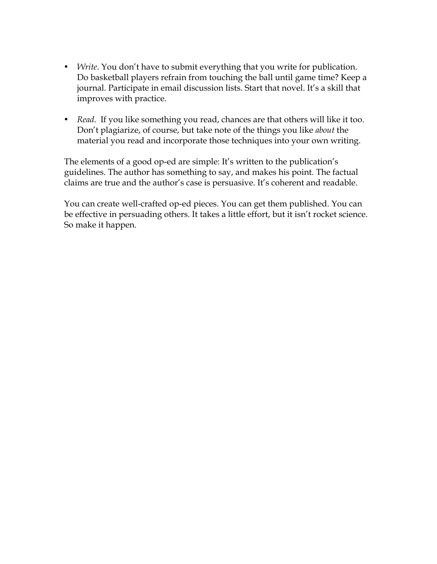- *Write*. You don't have to submit everything that you write for publication. Do basketball players refrain from touching the ball until game time? Keep a journal. Participate in email discussion lists. Start that novel. It's a skill that improves with practice.
- *Read.* If you like something you read, chances are that others will like it too. Don't plagiarize, of course, but take note of the things you like *about* the material you read and incorporate those techniques into your own writing.

The elements of a good op-ed are simple: It's written to the publication's guidelines. The author has something to say, and makes his point. The factual claims are true and the author's case is persuasive. It's coherent and readable.

You can create well-crafted op-ed pieces. You can get them published. You can be effective in persuading others. It takes a little effort, but it isn't rocket science. So make it happen.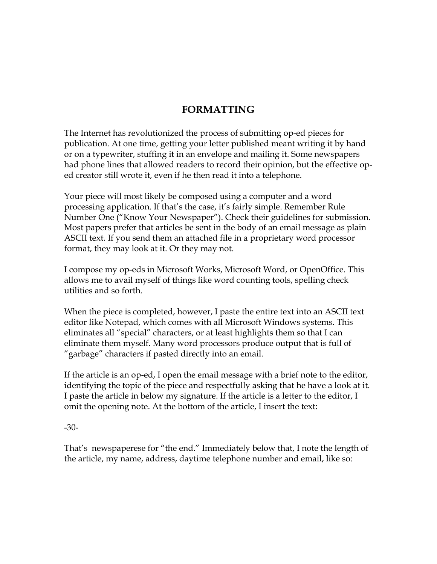## **FORMATTING**

The Internet has revolutionized the process of submitting op-ed pieces for publication. At one time, getting your letter published meant writing it by hand or on a typewriter, stuffing it in an envelope and mailing it. Some newspapers had phone lines that allowed readers to record their opinion, but the effective oped creator still wrote it, even if he then read it into a telephone.

Your piece will most likely be composed using a computer and a word processing application. If that's the case, it's fairly simple. Remember Rule Number One ("Know Your Newspaper"). Check their guidelines for submission. Most papers prefer that articles be sent in the body of an email message as plain ASCII text. If you send them an attached file in a proprietary word processor format, they may look at it. Or they may not.

I compose my op-eds in Microsoft Works, Microsoft Word, or OpenOffice. This allows me to avail myself of things like word counting tools, spelling check utilities and so forth.

When the piece is completed, however, I paste the entire text into an ASCII text editor like Notepad, which comes with all Microsoft Windows systems. This eliminates all "special" characters, or at least highlights them so that I can eliminate them myself. Many word processors produce output that is full of "garbage" characters if pasted directly into an email.

If the article is an op-ed, I open the email message with a brief note to the editor, identifying the topic of the piece and respectfully asking that he have a look at it. I paste the article in below my signature. If the article is a letter to the editor, I omit the opening note. At the bottom of the article, I insert the text:

-30-

That's newspaperese for "the end." Immediately below that, I note the length of the article, my name, address, daytime telephone number and email, like so: